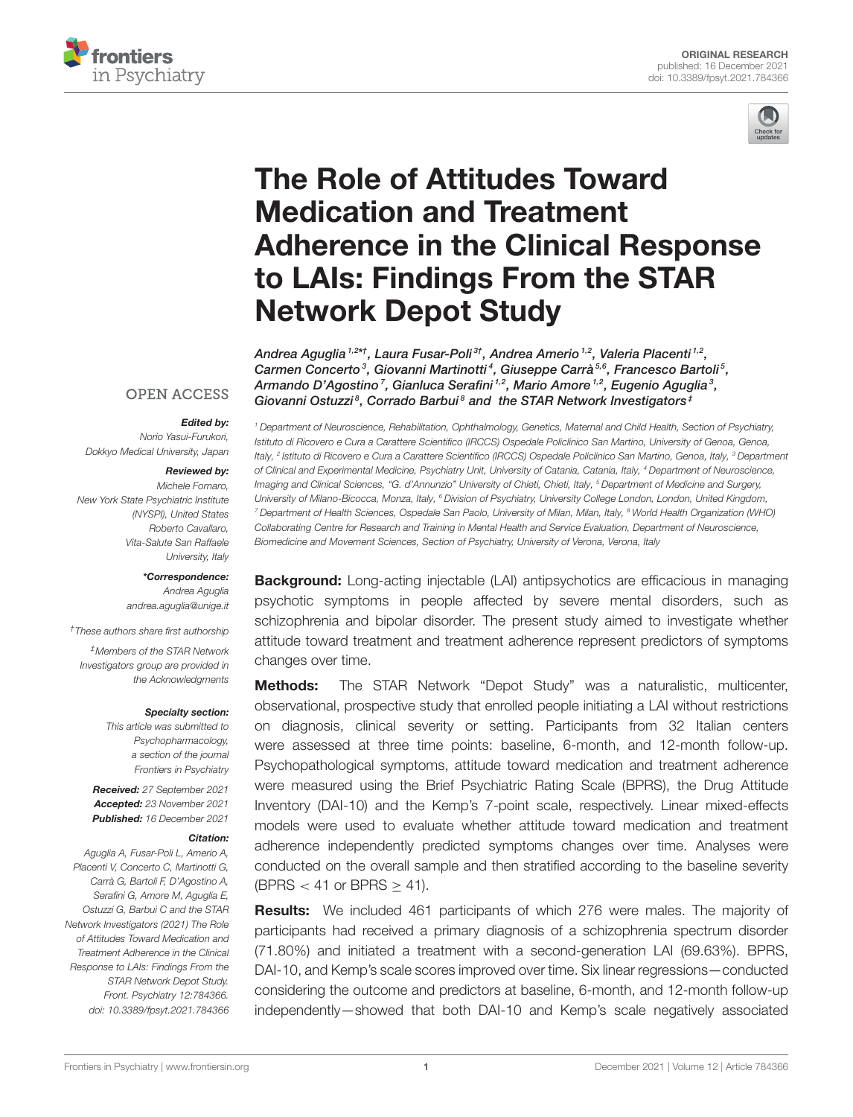



# The Role of Attitudes Toward Medication and Treatment [Adherence in the Clinical Response](https://www.frontiersin.org/articles/10.3389/fpsyt.2021.784366/full) to LAIs: Findings From the STAR Network Depot Study

Andrea Aguglia <sup>1,2\*†</sup>, Laura Fusar-Poli<sup>3†</sup>, Andrea Amerio <sup>1,2</sup>, Valeria Placenti <sup>1,2</sup>, Carmen Concerto<sup>3</sup>, Giovanni Martinotti<sup>4</sup>, Giuseppe Carrà<sup>5,6</sup>, Francesco Bartoli<sup>5</sup>, Armando D'Agostino<sup>7</sup>, Gianluca Serafini 1,2, Mario Amore 1,2, Eugenio Aguglia<sup>3</sup>, Giovanni Ostuzzi<sup>8</sup>, Corrado Barbui<sup>8</sup> and the STAR Network Investigators<sup>‡</sup>

# **OPEN ACCESS**

#### Edited by:

Norio Yasui-Furukori, Dokkyo Medical University, Japan

#### Reviewed by:

Michele Fornaro, New York State Psychiatric Institute (NYSPI), United States Roberto Cavallaro, Vita-Salute San Raffaele University, Italy

> \*Correspondence: Andrea Aguglia [andrea.aguglia@unige.it](mailto:andrea.aguglia@unige.it)

†These authors share first authorship

‡Members of the STAR Network Investigators group are provided in the Acknowledgments

#### Specialty section:

This article was submitted to Psychopharmacology, a section of the journal Frontiers in Psychiatry

Received: 27 September 2021 Accepted: 23 November 2021 Published: 16 December 2021

#### Citation:

Aguglia A, Fusar-Poli L, Amerio A, Placenti V, Concerto C, Martinotti G, Carrà G, Bartoli F, D'Agostino A, Serafini G, Amore M, Aguglia E, Ostuzzi G, Barbui C and the STAR Network Investigators (2021) The Role of Attitudes Toward Medication and Treatment Adherence in the Clinical Response to LAIs: Findings From the STAR Network Depot Study. Front. Psychiatry 12:784366. doi: [10.3389/fpsyt.2021.784366](https://doi.org/10.3389/fpsyt.2021.784366)

<sup>1</sup> Department of Neuroscience, Rehabilitation, Ophthalmology, Genetics, Maternal and Child Health, Section of Psychiatry, Istituto di Ricovero e Cura a Carattere Scientifico (IRCCS) Ospedale Policlinico San Martino, University of Genoa, Genoa, Italy, <sup>2</sup> Istituto di Ricovero e Cura a Carattere Scientifico (IRCCS) Ospedale Policlinico San Martino, Genoa, Italy, <sup>3</sup> Department of Clinical and Experimental Medicine, Psychiatry Unit, University of Catania, Catania, Italy, <sup>4</sup> Department of Neuroscience, Imaging and Clinical Sciences, "G. d'Annunzio" University of Chieti, Chieti, Italy, <sup>5</sup> Department of Medicine and Surgery, University of Milano-Bicocca, Monza, Italy, <sup>6</sup> Division of Psychiatry, University College London, London, United Kingdom, <sup>7</sup> Department of Health Sciences, Ospedale San Paolo, University of Milan, Milan, Italy, <sup>8</sup> World Health Organization (WHO) Collaborating Centre for Research and Training in Mental Health and Service Evaluation, Department of Neuroscience, Biomedicine and Movement Sciences, Section of Psychiatry, University of Verona, Verona, Italy

**Background:** Long-acting injectable (LAI) antipsychotics are efficacious in managing psychotic symptoms in people affected by severe mental disorders, such as schizophrenia and bipolar disorder. The present study aimed to investigate whether attitude toward treatment and treatment adherence represent predictors of symptoms changes over time.

Methods: The STAR Network "Depot Study" was a naturalistic, multicenter, observational, prospective study that enrolled people initiating a LAI without restrictions on diagnosis, clinical severity or setting. Participants from 32 Italian centers were assessed at three time points: baseline, 6-month, and 12-month follow-up. Psychopathological symptoms, attitude toward medication and treatment adherence were measured using the Brief Psychiatric Rating Scale (BPRS), the Drug Attitude Inventory (DAI-10) and the Kemp's 7-point scale, respectively. Linear mixed-effects models were used to evaluate whether attitude toward medication and treatment adherence independently predicted symptoms changes over time. Analyses were conducted on the overall sample and then stratified according to the baseline severity (BPRS < 41 or BPRS  $\geq$  41).

Results: We included 461 participants of which 276 were males. The majority of participants had received a primary diagnosis of a schizophrenia spectrum disorder (71.80%) and initiated a treatment with a second-generation LAI (69.63%). BPRS, DAI-10, and Kemp's scale scores improved over time. Six linear regressions—conducted considering the outcome and predictors at baseline, 6-month, and 12-month follow-up independently—showed that both DAI-10 and Kemp's scale negatively associated

[Frontiers in Psychiatry](https://www.frontiersin.org/journals/psychiatry)| [www.frontiersin.org](https://www.frontiersin.org) | Network | 2021 | Volume 12 | Article 784366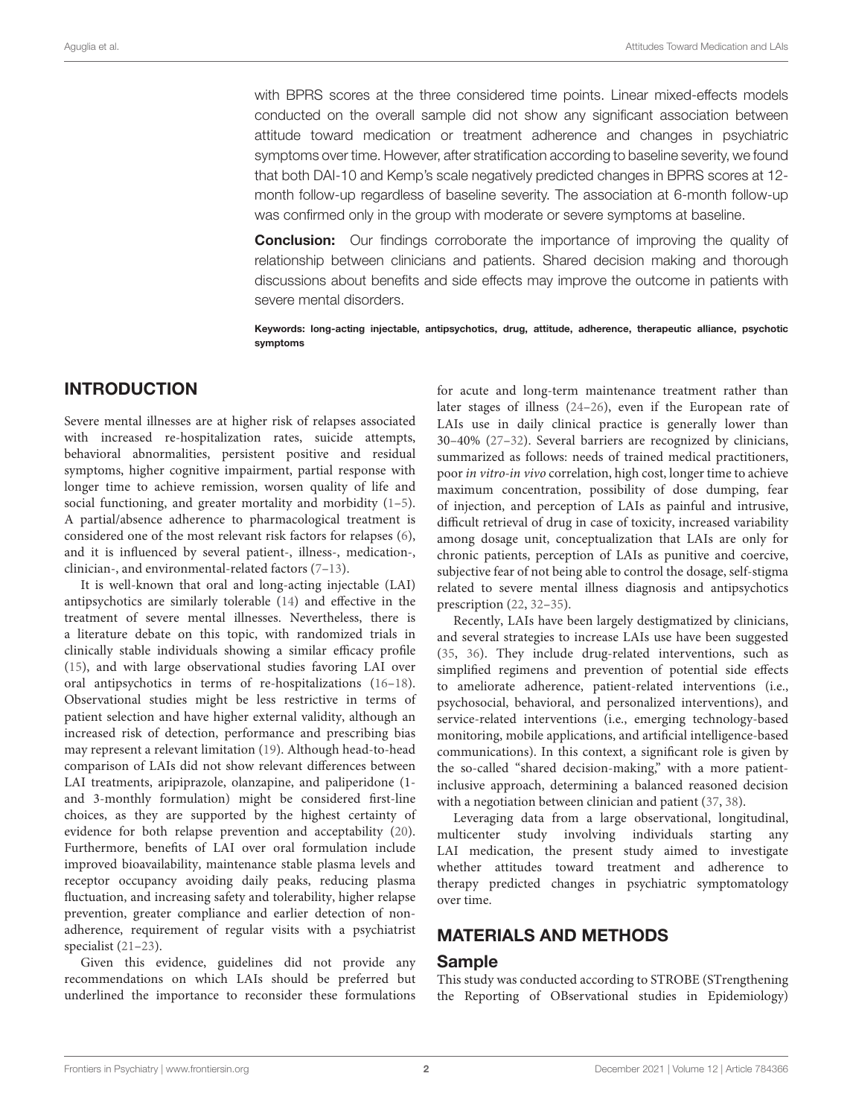with BPRS scores at the three considered time points. Linear mixed-effects models conducted on the overall sample did not show any significant association between attitude toward medication or treatment adherence and changes in psychiatric symptoms over time. However, after stratification according to baseline severity, we found that both DAI-10 and Kemp's scale negatively predicted changes in BPRS scores at 12 month follow-up regardless of baseline severity. The association at 6-month follow-up was confirmed only in the group with moderate or severe symptoms at baseline.

**Conclusion:** Our findings corroborate the importance of improving the quality of relationship between clinicians and patients. Shared decision making and thorough discussions about benefits and side effects may improve the outcome in patients with severe mental disorders.

Keywords: long-acting injectable, antipsychotics, drug, attitude, adherence, therapeutic alliance, psychotic symptoms

# INTRODUCTION

Severe mental illnesses are at higher risk of relapses associated with increased re-hospitalization rates, suicide attempts, behavioral abnormalities, persistent positive and residual symptoms, higher cognitive impairment, partial response with longer time to achieve remission, worsen quality of life and social functioning, and greater mortality and morbidity [\(1](#page-7-0)[–5\)](#page-7-1). A partial/absence adherence to pharmacological treatment is considered one of the most relevant risk factors for relapses [\(6\)](#page-7-2), and it is influenced by several patient-, illness-, medication-, clinician-, and environmental-related factors [\(7–](#page-7-3)[13\)](#page-7-4).

It is well-known that oral and long-acting injectable (LAI) antipsychotics are similarly tolerable [\(14\)](#page-7-5) and effective in the treatment of severe mental illnesses. Nevertheless, there is a literature debate on this topic, with randomized trials in clinically stable individuals showing a similar efficacy profile [\(15\)](#page-7-6), and with large observational studies favoring LAI over oral antipsychotics in terms of re-hospitalizations [\(16–](#page-8-0)[18\)](#page-8-1). Observational studies might be less restrictive in terms of patient selection and have higher external validity, although an increased risk of detection, performance and prescribing bias may represent a relevant limitation [\(19\)](#page-8-2). Although head-to-head comparison of LAIs did not show relevant differences between LAI treatments, aripiprazole, olanzapine, and paliperidone (1 and 3-monthly formulation) might be considered first-line choices, as they are supported by the highest certainty of evidence for both relapse prevention and acceptability [\(20\)](#page-8-3). Furthermore, benefits of LAI over oral formulation include improved bioavailability, maintenance stable plasma levels and receptor occupancy avoiding daily peaks, reducing plasma fluctuation, and increasing safety and tolerability, higher relapse prevention, greater compliance and earlier detection of nonadherence, requirement of regular visits with a psychiatrist specialist [\(21–](#page-8-4)[23\)](#page-8-5).

Given this evidence, guidelines did not provide any recommendations on which LAIs should be preferred but underlined the importance to reconsider these formulations

for acute and long-term maintenance treatment rather than later stages of illness [\(24](#page-8-6)[–26\)](#page-8-7), even if the European rate of LAIs use in daily clinical practice is generally lower than 30–40% [\(27](#page-8-8)[–32\)](#page-8-9). Several barriers are recognized by clinicians, summarized as follows: needs of trained medical practitioners, poor in vitro-in vivo correlation, high cost, longer time to achieve maximum concentration, possibility of dose dumping, fear of injection, and perception of LAIs as painful and intrusive, difficult retrieval of drug in case of toxicity, increased variability among dosage unit, conceptualization that LAIs are only for chronic patients, perception of LAIs as punitive and coercive, subjective fear of not being able to control the dosage, self-stigma related to severe mental illness diagnosis and antipsychotics prescription [\(22,](#page-8-10) [32](#page-8-9)[–35\)](#page-8-11).

Recently, LAIs have been largely destigmatized by clinicians, and several strategies to increase LAIs use have been suggested [\(35,](#page-8-11) [36\)](#page-8-12). They include drug-related interventions, such as simplified regimens and prevention of potential side effects to ameliorate adherence, patient-related interventions (i.e., psychosocial, behavioral, and personalized interventions), and service-related interventions (i.e., emerging technology-based monitoring, mobile applications, and artificial intelligence-based communications). In this context, a significant role is given by the so-called "shared decision-making," with a more patientinclusive approach, determining a balanced reasoned decision with a negotiation between clinician and patient [\(37,](#page-8-13) [38\)](#page-8-14).

Leveraging data from a large observational, longitudinal, multicenter study involving individuals starting any LAI medication, the present study aimed to investigate whether attitudes toward treatment and adherence to therapy predicted changes in psychiatric symptomatology over time.

### MATERIALS AND METHODS

#### Sample

This study was conducted according to STROBE (STrengthening the Reporting of OBservational studies in Epidemiology)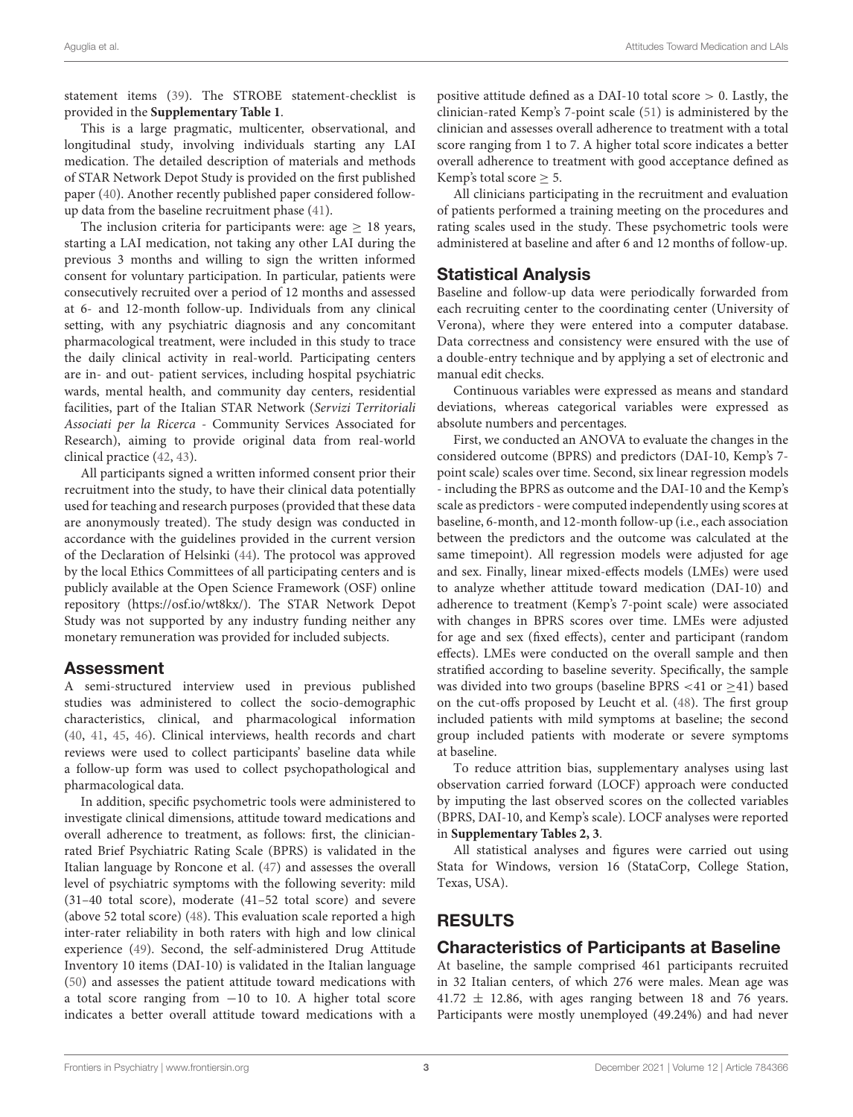statement items [\(39\)](#page-8-15). The STROBE statement-checklist is provided in the **[Supplementary Table 1](#page-7-7)**.

This is a large pragmatic, multicenter, observational, and longitudinal study, involving individuals starting any LAI medication. The detailed description of materials and methods of STAR Network Depot Study is provided on the first published paper [\(40\)](#page-8-16). Another recently published paper considered followup data from the baseline recruitment phase [\(41\)](#page-8-17).

The inclusion criteria for participants were: age  $\geq$  18 years, starting a LAI medication, not taking any other LAI during the previous 3 months and willing to sign the written informed consent for voluntary participation. In particular, patients were consecutively recruited over a period of 12 months and assessed at 6- and 12-month follow-up. Individuals from any clinical setting, with any psychiatric diagnosis and any concomitant pharmacological treatment, were included in this study to trace the daily clinical activity in real-world. Participating centers are in- and out- patient services, including hospital psychiatric wards, mental health, and community day centers, residential facilities, part of the Italian STAR Network (Servizi Territoriali Associati per la Ricerca - Community Services Associated for Research), aiming to provide original data from real-world clinical practice [\(42,](#page-8-18) [43\)](#page-8-19).

All participants signed a written informed consent prior their recruitment into the study, to have their clinical data potentially used for teaching and research purposes (provided that these data are anonymously treated). The study design was conducted in accordance with the guidelines provided in the current version of the Declaration of Helsinki [\(44\)](#page-8-20). The protocol was approved by the local Ethics Committees of all participating centers and is publicly available at the Open Science Framework (OSF) online repository [\(https://osf.io/wt8kx/\)](https://osf.io/wt8kx/). The STAR Network Depot Study was not supported by any industry funding neither any monetary remuneration was provided for included subjects.

#### Assessment

A semi-structured interview used in previous published studies was administered to collect the socio-demographic characteristics, clinical, and pharmacological information [\(40,](#page-8-16) [41,](#page-8-17) [45,](#page-8-21) [46\)](#page-8-22). Clinical interviews, health records and chart reviews were used to collect participants' baseline data while a follow-up form was used to collect psychopathological and pharmacological data.

In addition, specific psychometric tools were administered to investigate clinical dimensions, attitude toward medications and overall adherence to treatment, as follows: first, the clinicianrated Brief Psychiatric Rating Scale (BPRS) is validated in the Italian language by Roncone et al. [\(47\)](#page-8-23) and assesses the overall level of psychiatric symptoms with the following severity: mild (31–40 total score), moderate (41–52 total score) and severe (above 52 total score) [\(48\)](#page-8-24). This evaluation scale reported a high inter-rater reliability in both raters with high and low clinical experience [\(49\)](#page-8-25). Second, the self-administered Drug Attitude Inventory 10 items (DAI-10) is validated in the Italian language [\(50\)](#page-8-26) and assesses the patient attitude toward medications with a total score ranging from −10 to 10. A higher total score indicates a better overall attitude toward medications with a

positive attitude defined as a DAI-10 total score  $> 0$ . Lastly, the clinician-rated Kemp's 7-point scale [\(51\)](#page-8-27) is administered by the clinician and assesses overall adherence to treatment with a total score ranging from 1 to 7. A higher total score indicates a better overall adherence to treatment with good acceptance defined as Kemp's total score  $\geq$  5.

All clinicians participating in the recruitment and evaluation of patients performed a training meeting on the procedures and rating scales used in the study. These psychometric tools were administered at baseline and after 6 and 12 months of follow-up.

#### Statistical Analysis

Baseline and follow-up data were periodically forwarded from each recruiting center to the coordinating center (University of Verona), where they were entered into a computer database. Data correctness and consistency were ensured with the use of a double-entry technique and by applying a set of electronic and manual edit checks.

Continuous variables were expressed as means and standard deviations, whereas categorical variables were expressed as absolute numbers and percentages.

First, we conducted an ANOVA to evaluate the changes in the considered outcome (BPRS) and predictors (DAI-10, Kemp's 7 point scale) scales over time. Second, six linear regression models - including the BPRS as outcome and the DAI-10 and the Kemp's scale as predictors - were computed independently using scores at baseline, 6-month, and 12-month follow-up (i.e., each association between the predictors and the outcome was calculated at the same timepoint). All regression models were adjusted for age and sex. Finally, linear mixed-effects models (LMEs) were used to analyze whether attitude toward medication (DAI-10) and adherence to treatment (Kemp's 7-point scale) were associated with changes in BPRS scores over time. LMEs were adjusted for age and sex (fixed effects), center and participant (random effects). LMEs were conducted on the overall sample and then stratified according to baseline severity. Specifically, the sample was divided into two groups (baseline BPRS <41 or  $\geq$ 41) based on the cut-offs proposed by Leucht et al. [\(48\)](#page-8-24). The first group included patients with mild symptoms at baseline; the second group included patients with moderate or severe symptoms at baseline.

To reduce attrition bias, supplementary analyses using last observation carried forward (LOCF) approach were conducted by imputing the last observed scores on the collected variables (BPRS, DAI-10, and Kemp's scale). LOCF analyses were reported in **[Supplementary Tables 2, 3](#page-7-7)**.

All statistical analyses and figures were carried out using Stata for Windows, version 16 (StataCorp, College Station, Texas, USA).

# RESULTS

# Characteristics of Participants at Baseline

At baseline, the sample comprised 461 participants recruited in 32 Italian centers, of which 276 were males. Mean age was  $41.72 \pm 12.86$ , with ages ranging between 18 and 76 years. Participants were mostly unemployed (49.24%) and had never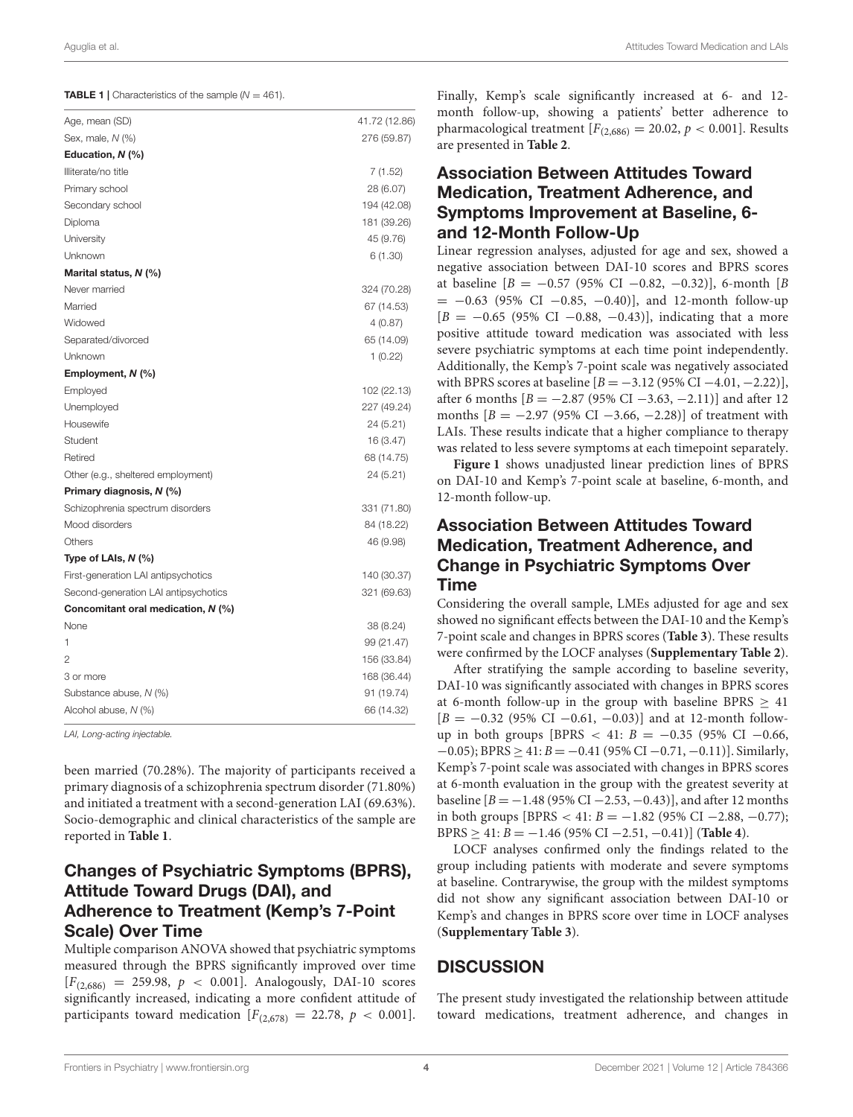<span id="page-3-0"></span>**TABLE 1** | Characteristics of the sample  $(N = 461)$ .

| Age, mean (SD)                       | 41.72 (12.86) |
|--------------------------------------|---------------|
| Sex, male, N (%)                     | 276 (59.87)   |
| Education, N (%)                     |               |
| Illiterate/no title                  | 7 (1.52)      |
| Primary school                       | 28 (6.07)     |
| Secondary school                     | 194 (42.08)   |
| Diploma                              | 181 (39.26)   |
| University                           | 45 (9.76)     |
| Unknown                              | 6(1.30)       |
| Marital status, N (%)                |               |
| Never married                        | 324 (70.28)   |
| Married                              | 67 (14.53)    |
| Widowed                              | 4(0.87)       |
| Separated/divorced                   | 65 (14.09)    |
| Unknown                              | 1(0.22)       |
| Employment, N (%)                    |               |
| Employed                             | 102 (22.13)   |
| Unemployed                           | 227 (49.24)   |
| Housewife                            | 24 (5.21)     |
| Student                              | 16 (3.47)     |
| Retired                              | 68 (14.75)    |
| Other (e.g., sheltered employment)   | 24 (5.21)     |
| Primary diagnosis, N (%)             |               |
| Schizophrenia spectrum disorders     | 331 (71.80)   |
| Mood disorders                       | 84 (18.22)    |
| Others                               | 46 (9.98)     |
| Type of LAIs, $N$ (%)                |               |
| First-generation LAI antipsychotics  | 140 (30.37)   |
| Second-generation LAI antipsychotics | 321 (69.63)   |
| Concomitant oral medication, N (%)   |               |
| None                                 | 38 (8.24)     |
| 1                                    | 99 (21.47)    |
| 2                                    | 156 (33.84)   |
| 3 or more                            | 168 (36.44)   |
| Substance abuse, N (%)               | 91 (19.74)    |
| Alcohol abuse, N (%)                 | 66 (14.32)    |
|                                      |               |

LAI, Long-acting injectable.

been married (70.28%). The majority of participants received a primary diagnosis of a schizophrenia spectrum disorder (71.80%) and initiated a treatment with a second-generation LAI (69.63%). Socio-demographic and clinical characteristics of the sample are reported in **[Table 1](#page-3-0)**.

# Changes of Psychiatric Symptoms (BPRS), Attitude Toward Drugs (DAI), and Adherence to Treatment (Kemp's 7-Point Scale) Over Time

Multiple comparison ANOVA showed that psychiatric symptoms measured through the BPRS significantly improved over time  $[F_{(2,686)} = 259.98, p < 0.001]$ . Analogously, DAI-10 scores significantly increased, indicating a more confident attitude of participants toward medication  $[F<sub>(2,678)</sub>] = 22.78, p < 0.001$ . Finally, Kemp's scale significantly increased at 6- and 12 month follow-up, showing a patients' better adherence to pharmacological treatment  $[F_{(2,686)} = 20.02, p < 0.001]$ . Results are presented in **[Table 2](#page-4-0)**.

# Association Between Attitudes Toward Medication, Treatment Adherence, and Symptoms Improvement at Baseline, 6 and 12-Month Follow-Up

Linear regression analyses, adjusted for age and sex, showed a negative association between DAI-10 scores and BPRS scores at baseline  $[B = -0.57 (95\% \text{ CI} -0.82, -0.32)],$  6-month  $[B]$  $= -0.63$  (95% CI  $-0.85$ ,  $-0.40$ )], and 12-month follow-up  $[B = -0.65 \ (95\% \ CI \ -0.88, \ -0.43)$ ], indicating that a more positive attitude toward medication was associated with less severe psychiatric symptoms at each time point independently. Additionally, the Kemp's 7-point scale was negatively associated with BPRS scores at baseline  $[B = -3.12 (95\% CI -4.01, -2.22)],$ after 6 months  $[B = -2.87 (95\% \text{ CI} -3.63, -2.11)]$  and after 12 months  $[B = -2.97 (95\% \text{ CI} -3.66, -2.28)]$  of treatment with LAIs. These results indicate that a higher compliance to therapy was related to less severe symptoms at each timepoint separately.

**[Figure 1](#page-5-0)** shows unadjusted linear prediction lines of BPRS on DAI-10 and Kemp's 7-point scale at baseline, 6-month, and 12-month follow-up.

# Association Between Attitudes Toward Medication, Treatment Adherence, and Change in Psychiatric Symptoms Over Time

Considering the overall sample, LMEs adjusted for age and sex showed no significant effects between the DAI-10 and the Kemp's 7-point scale and changes in BPRS scores (**[Table 3](#page-6-0)**). These results were confirmed by the LOCF analyses (**[Supplementary Table 2](#page-7-7)**).

After stratifying the sample according to baseline severity, DAI-10 was significantly associated with changes in BPRS scores at 6-month follow-up in the group with baseline BPRS  $\geq 41$  $[B = -0.32 \ (95\% \ CI \ -0.61, \ -0.03)]$  and at 12-month followup in both groups [BPRS < 41:  $B = -0.35$  (95% CI -0.66,  $-0.05$ ); BPRS  $\geq 41$ :  $B = -0.41$  (95% CI  $-0.71$ ,  $-0.11$ )]. Similarly, Kemp's 7-point scale was associated with changes in BPRS scores at 6-month evaluation in the group with the greatest severity at baseline  $[B = -1.48 (95\% CI - 2.53, -0.43)]$ , and after 12 months in both groups [BPRS < 41:  $B = -1.82$  (95% CI −2.88, −0.77); BPRS ≥ 41: B = −1.46 (95% CI −2.51, −0.41)] (**[Table 4](#page-6-1)**).

LOCF analyses confirmed only the findings related to the group including patients with moderate and severe symptoms at baseline. Contrarywise, the group with the mildest symptoms did not show any significant association between DAI-10 or Kemp's and changes in BPRS score over time in LOCF analyses (**[Supplementary Table 3](#page-7-7)**).

#### **DISCUSSION**

The present study investigated the relationship between attitude toward medications, treatment adherence, and changes in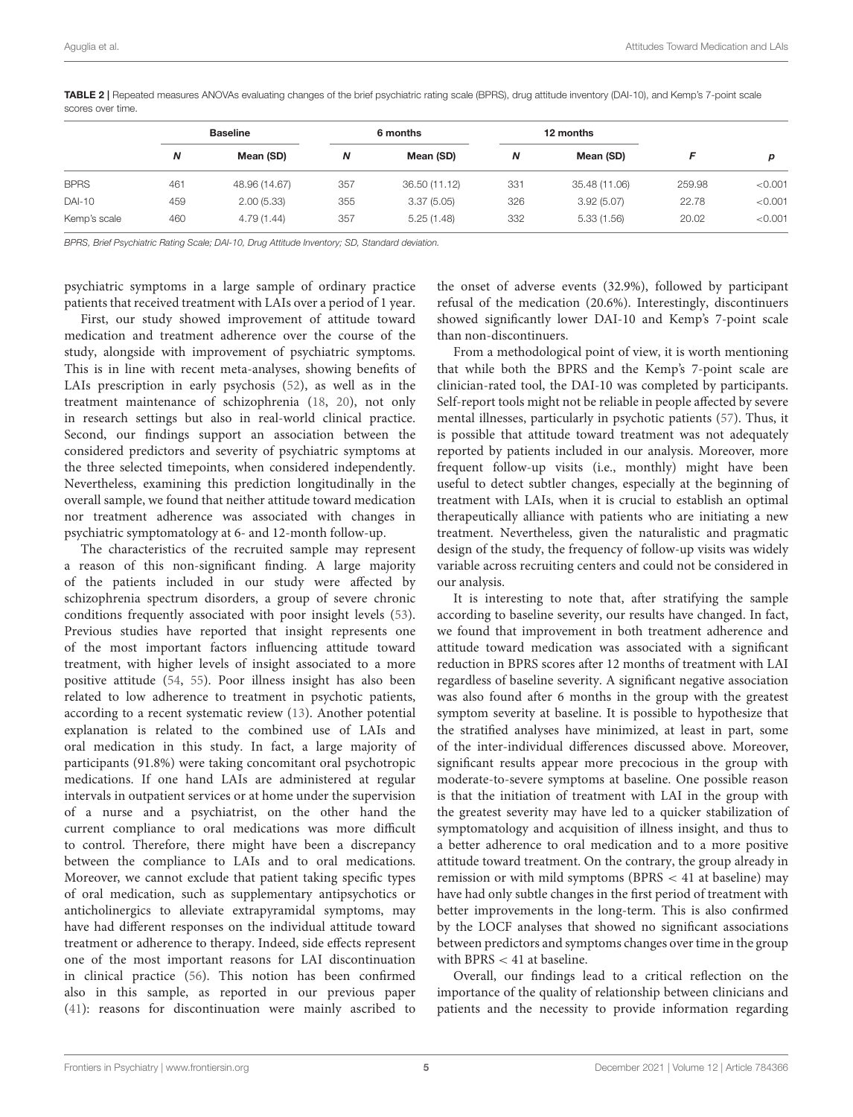|     | <b>Baseline</b> |     | 6 months      |     | 12 months     |        |         |
|-----|-----------------|-----|---------------|-----|---------------|--------|---------|
| N   | Mean (SD)       | Ν   | Mean (SD)     | N   | Mean (SD)     |        | D       |
| 461 | 48.96 (14.67)   | 357 | 36.50 (11.12) | 331 | 35.48 (11.06) | 259.98 | < 0.001 |
| 459 | 2.00(5.33)      | 355 | 3.37(5.05)    | 326 | 3.92(5.07)    | 22.78  | < 0.001 |
| 460 | 4.79(1.44)      | 357 | 5.25(1.48)    | 332 | 5.33(1.56)    | 20.02  | < 0.001 |
|     |                 |     |               |     |               |        |         |

<span id="page-4-0"></span>TABLE 2 | Repeated measures ANOVAs evaluating changes of the brief psychiatric rating scale (BPRS), drug attitude inventory (DAI-10), and Kemp's 7-point scale scores over time.

BPRS, Brief Psychiatric Rating Scale; DAI-10, Drug Attitude Inventory; SD, Standard deviation.

psychiatric symptoms in a large sample of ordinary practice patients that received treatment with LAIs over a period of 1 year.

First, our study showed improvement of attitude toward medication and treatment adherence over the course of the study, alongside with improvement of psychiatric symptoms. This is in line with recent meta-analyses, showing benefits of LAIs prescription in early psychosis [\(52\)](#page-8-28), as well as in the treatment maintenance of schizophrenia [\(18,](#page-8-1) [20\)](#page-8-3), not only in research settings but also in real-world clinical practice. Second, our findings support an association between the considered predictors and severity of psychiatric symptoms at the three selected timepoints, when considered independently. Nevertheless, examining this prediction longitudinally in the overall sample, we found that neither attitude toward medication nor treatment adherence was associated with changes in psychiatric symptomatology at 6- and 12-month follow-up.

The characteristics of the recruited sample may represent a reason of this non-significant finding. A large majority of the patients included in our study were affected by schizophrenia spectrum disorders, a group of severe chronic conditions frequently associated with poor insight levels [\(53\)](#page-9-0). Previous studies have reported that insight represents one of the most important factors influencing attitude toward treatment, with higher levels of insight associated to a more positive attitude [\(54,](#page-9-1) [55\)](#page-9-2). Poor illness insight has also been related to low adherence to treatment in psychotic patients, according to a recent systematic review [\(13\)](#page-7-4). Another potential explanation is related to the combined use of LAIs and oral medication in this study. In fact, a large majority of participants (91.8%) were taking concomitant oral psychotropic medications. If one hand LAIs are administered at regular intervals in outpatient services or at home under the supervision of a nurse and a psychiatrist, on the other hand the current compliance to oral medications was more difficult to control. Therefore, there might have been a discrepancy between the compliance to LAIs and to oral medications. Moreover, we cannot exclude that patient taking specific types of oral medication, such as supplementary antipsychotics or anticholinergics to alleviate extrapyramidal symptoms, may have had different responses on the individual attitude toward treatment or adherence to therapy. Indeed, side effects represent one of the most important reasons for LAI discontinuation in clinical practice [\(56\)](#page-9-3). This notion has been confirmed also in this sample, as reported in our previous paper [\(41\)](#page-8-17): reasons for discontinuation were mainly ascribed to the onset of adverse events (32.9%), followed by participant refusal of the medication (20.6%). Interestingly, discontinuers showed significantly lower DAI-10 and Kemp's 7-point scale than non-discontinuers.

From a methodological point of view, it is worth mentioning that while both the BPRS and the Kemp's 7-point scale are clinician-rated tool, the DAI-10 was completed by participants. Self-report tools might not be reliable in people affected by severe mental illnesses, particularly in psychotic patients [\(57\)](#page-9-4). Thus, it is possible that attitude toward treatment was not adequately reported by patients included in our analysis. Moreover, more frequent follow-up visits (i.e., monthly) might have been useful to detect subtler changes, especially at the beginning of treatment with LAIs, when it is crucial to establish an optimal therapeutically alliance with patients who are initiating a new treatment. Nevertheless, given the naturalistic and pragmatic design of the study, the frequency of follow-up visits was widely variable across recruiting centers and could not be considered in our analysis.

It is interesting to note that, after stratifying the sample according to baseline severity, our results have changed. In fact, we found that improvement in both treatment adherence and attitude toward medication was associated with a significant reduction in BPRS scores after 12 months of treatment with LAI regardless of baseline severity. A significant negative association was also found after 6 months in the group with the greatest symptom severity at baseline. It is possible to hypothesize that the stratified analyses have minimized, at least in part, some of the inter-individual differences discussed above. Moreover, significant results appear more precocious in the group with moderate-to-severe symptoms at baseline. One possible reason is that the initiation of treatment with LAI in the group with the greatest severity may have led to a quicker stabilization of symptomatology and acquisition of illness insight, and thus to a better adherence to oral medication and to a more positive attitude toward treatment. On the contrary, the group already in remission or with mild symptoms (BPRS < 41 at baseline) may have had only subtle changes in the first period of treatment with better improvements in the long-term. This is also confirmed by the LOCF analyses that showed no significant associations between predictors and symptoms changes over time in the group with BPRS  $<$  41 at baseline.

Overall, our findings lead to a critical reflection on the importance of the quality of relationship between clinicians and patients and the necessity to provide information regarding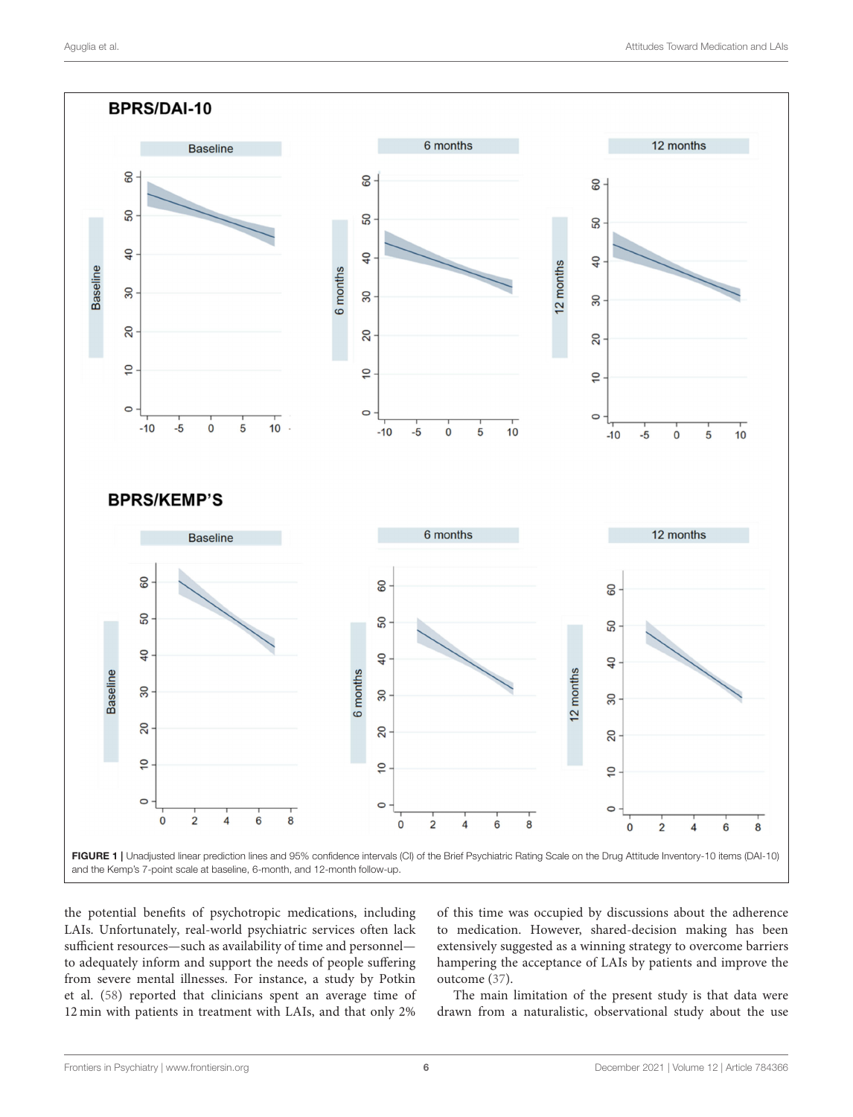

<span id="page-5-0"></span>the potential benefits of psychotropic medications, including LAIs. Unfortunately, real-world psychiatric services often lack sufficient resources—such as availability of time and personnel to adequately inform and support the needs of people suffering from severe mental illnesses. For instance, a study by Potkin et al. [\(58\)](#page-9-5) reported that clinicians spent an average time of 12 min with patients in treatment with LAIs, and that only 2% of this time was occupied by discussions about the adherence to medication. However, shared-decision making has been extensively suggested as a winning strategy to overcome barriers hampering the acceptance of LAIs by patients and improve the outcome [\(37\)](#page-8-13).

The main limitation of the present study is that data were drawn from a naturalistic, observational study about the use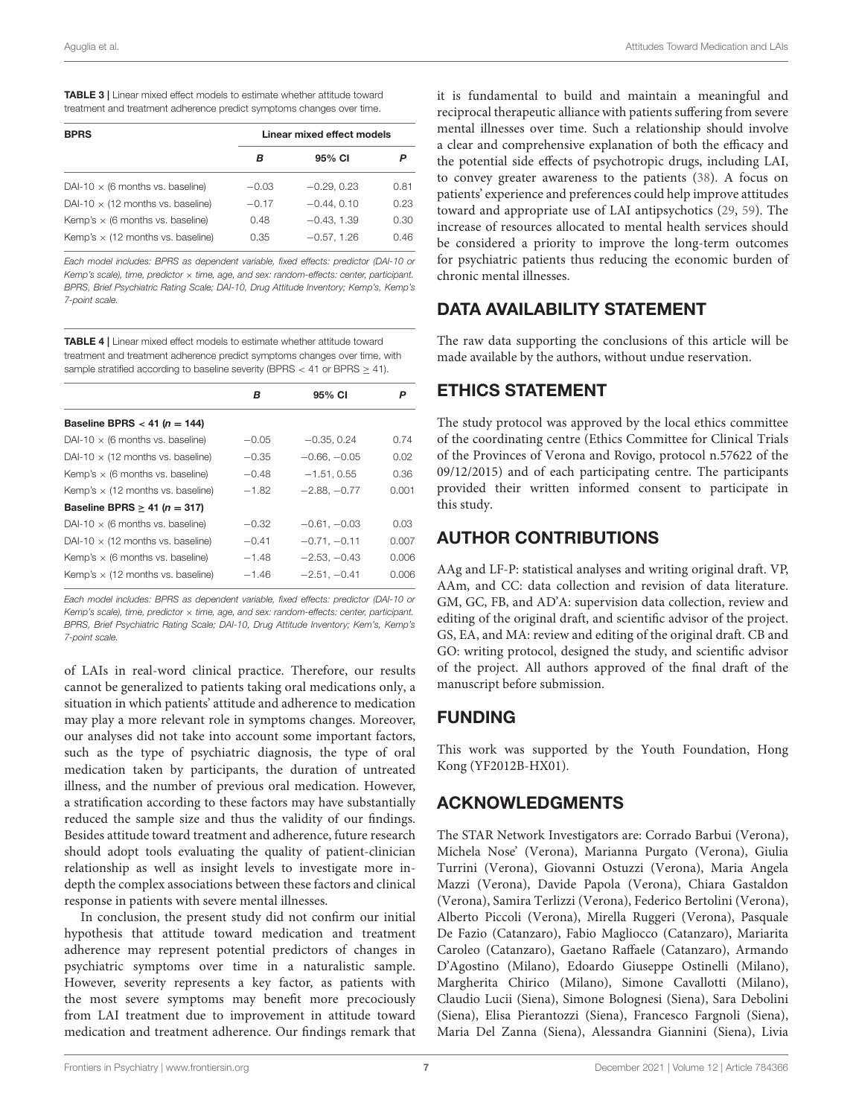<span id="page-6-0"></span>

| <b>TABLE 3</b>   Linear mixed effect models to estimate whether attitude toward |
|---------------------------------------------------------------------------------|
| treatment and treatment adherence predict symptoms changes over time.           |

| <b>BPRS</b>                              | Linear mixed effect models |               |      |  |
|------------------------------------------|----------------------------|---------------|------|--|
|                                          | в                          | 95% CI        | P    |  |
| DAI-10 $\times$ (6 months vs. baseline)  | $-0.03$                    | $-0.29.0.23$  | 0.81 |  |
| DAI-10 $\times$ (12 months vs. baseline) | $-0.17$                    | $-0.44.0.10$  | 0.23 |  |
| Kemp's $\times$ (6 months vs. baseline)  | 0.48                       | $-0.43, 1.39$ | 0.30 |  |
| Kemp's $\times$ (12 months vs. baseline) | 0.35                       | $-0.57, 1.26$ | 0.46 |  |

Each model includes: BPRS as dependent variable, fixed effects: predictor (DAI-10 or Kemp's scale), time, predictor  $\times$  time, age, and sex: random-effects: center, participant. BPRS, Brief Psychiatric Rating Scale; DAI-10, Drug Attitude Inventory; Kemp's, Kemp's 7-point scale.

<span id="page-6-1"></span>TABLE 4 | Linear mixed effect models to estimate whether attitude toward treatment and treatment adherence predict symptoms changes over time, with sample stratified according to baseline severity (BPRS < 41 or BPRS > 41).

|                                          | в       | 95% CI         | Ρ     |
|------------------------------------------|---------|----------------|-------|
| Baseline BPRS < 41 ( $n = 144$ )         |         |                |       |
| DAI-10 $\times$ (6 months vs. baseline)  | $-0.05$ | $-0.35, 0.24$  | 0.74  |
| DAI-10 $\times$ (12 months vs. baseline) | $-0.35$ | $-0.66, -0.05$ | 0.02  |
| Kemp's $\times$ (6 months vs. baseline)  | $-0.48$ | $-1.51, 0.55$  | 0.36  |
| Kemp's $\times$ (12 months vs. baseline) | $-1.82$ | $-2.88, -0.77$ | 0.001 |
| Baseline BPRS $\geq$ 41 (n = 317)        |         |                |       |
| DAI-10 $\times$ (6 months vs. baseline)  | $-0.32$ | $-0.61, -0.03$ | 0.03  |
| DAI-10 $\times$ (12 months vs. baseline) | $-0.41$ | $-0.71, -0.11$ | 0.007 |
| Kemp's $\times$ (6 months vs. baseline)  | $-1.48$ | $-2.53, -0.43$ | 0.006 |
| Kemp's $\times$ (12 months vs. baseline) | $-1.46$ | $-2.51, -0.41$ | 0.006 |

Each model includes: BPRS as dependent variable, fixed effects: predictor (DAI-10 or Kemp's scale), time, predictor  $\times$  time, age, and sex: random-effects: center, participant. BPRS, Brief Psychiatric Rating Scale; DAI-10, Drug Attitude Inventory; Kem's, Kemp's 7-point scale.

of LAIs in real-word clinical practice. Therefore, our results cannot be generalized to patients taking oral medications only, a situation in which patients' attitude and adherence to medication may play a more relevant role in symptoms changes. Moreover, our analyses did not take into account some important factors, such as the type of psychiatric diagnosis, the type of oral medication taken by participants, the duration of untreated illness, and the number of previous oral medication. However, a stratification according to these factors may have substantially reduced the sample size and thus the validity of our findings. Besides attitude toward treatment and adherence, future research should adopt tools evaluating the quality of patient-clinician relationship as well as insight levels to investigate more indepth the complex associations between these factors and clinical response in patients with severe mental illnesses.

In conclusion, the present study did not confirm our initial hypothesis that attitude toward medication and treatment adherence may represent potential predictors of changes in psychiatric symptoms over time in a naturalistic sample. However, severity represents a key factor, as patients with the most severe symptoms may benefit more precociously from LAI treatment due to improvement in attitude toward medication and treatment adherence. Our findings remark that it is fundamental to build and maintain a meaningful and reciprocal therapeutic alliance with patients suffering from severe mental illnesses over time. Such a relationship should involve a clear and comprehensive explanation of both the efficacy and the potential side effects of psychotropic drugs, including LAI, to convey greater awareness to the patients [\(38\)](#page-8-14). A focus on patients' experience and preferences could help improve attitudes toward and appropriate use of LAI antipsychotics [\(29,](#page-8-29) [59\)](#page-9-6). The increase of resources allocated to mental health services should be considered a priority to improve the long-term outcomes for psychiatric patients thus reducing the economic burden of chronic mental illnesses.

# DATA AVAILABILITY STATEMENT

The raw data supporting the conclusions of this article will be made available by the authors, without undue reservation.

# ETHICS STATEMENT

The study protocol was approved by the local ethics committee of the coordinating centre (Ethics Committee for Clinical Trials of the Provinces of Verona and Rovigo, protocol n.57622 of the 09/12/2015) and of each participating centre. The participants provided their written informed consent to participate in this study.

# AUTHOR CONTRIBUTIONS

AAg and LF-P: statistical analyses and writing original draft. VP, AAm, and CC: data collection and revision of data literature. GM, GC, FB, and AD'A: supervision data collection, review and editing of the original draft, and scientific advisor of the project. GS, EA, and MA: review and editing of the original draft. CB and GO: writing protocol, designed the study, and scientific advisor of the project. All authors approved of the final draft of the manuscript before submission.

# FUNDING

This work was supported by the Youth Foundation, Hong Kong (YF2012B-HX01).

# ACKNOWLEDGMENTS

The STAR Network Investigators are: Corrado Barbui (Verona), Michela Nose' (Verona), Marianna Purgato (Verona), Giulia Turrini (Verona), Giovanni Ostuzzi (Verona), Maria Angela Mazzi (Verona), Davide Papola (Verona), Chiara Gastaldon (Verona), Samira Terlizzi (Verona), Federico Bertolini (Verona), Alberto Piccoli (Verona), Mirella Ruggeri (Verona), Pasquale De Fazio (Catanzaro), Fabio Magliocco (Catanzaro), Mariarita Caroleo (Catanzaro), Gaetano Raffaele (Catanzaro), Armando D'Agostino (Milano), Edoardo Giuseppe Ostinelli (Milano), Margherita Chirico (Milano), Simone Cavallotti (Milano), Claudio Lucii (Siena), Simone Bolognesi (Siena), Sara Debolini (Siena), Elisa Pierantozzi (Siena), Francesco Fargnoli (Siena), Maria Del Zanna (Siena), Alessandra Giannini (Siena), Livia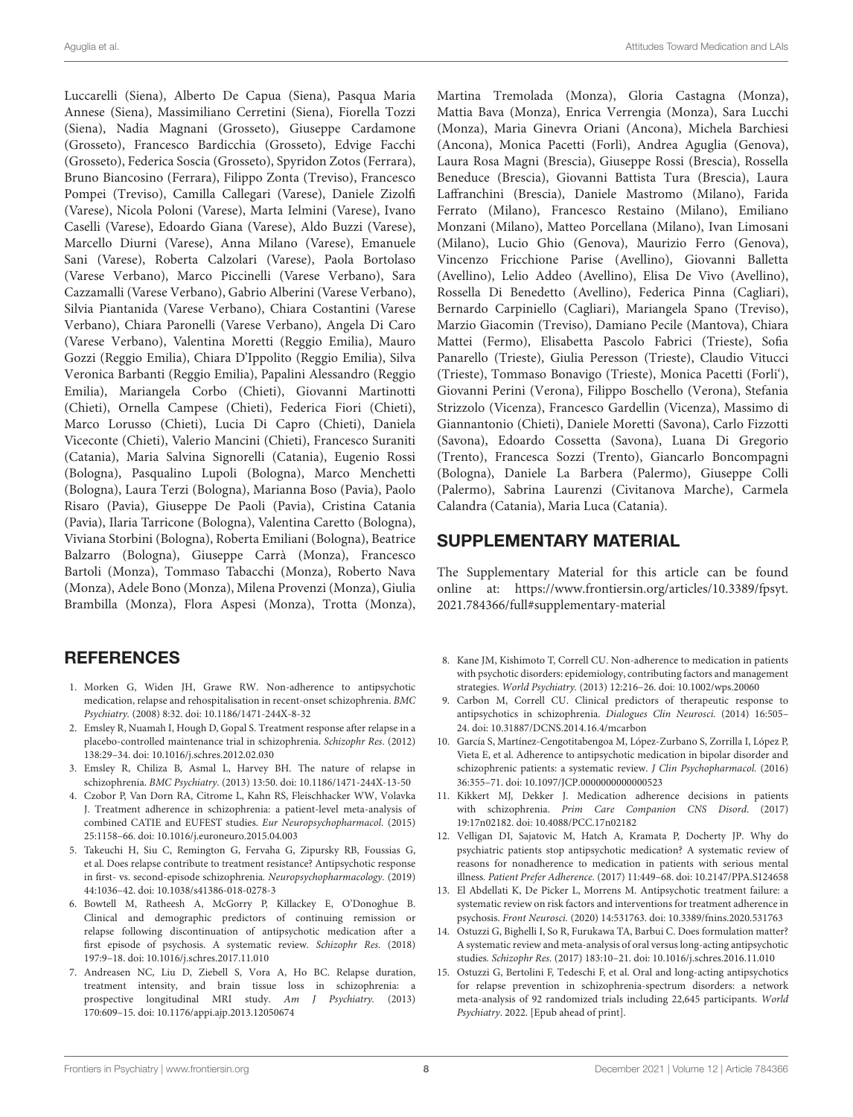Luccarelli (Siena), Alberto De Capua (Siena), Pasqua Maria Annese (Siena), Massimiliano Cerretini (Siena), Fiorella Tozzi (Siena), Nadia Magnani (Grosseto), Giuseppe Cardamone (Grosseto), Francesco Bardicchia (Grosseto), Edvige Facchi (Grosseto), Federica Soscia (Grosseto), Spyridon Zotos (Ferrara), Bruno Biancosino (Ferrara), Filippo Zonta (Treviso), Francesco Pompei (Treviso), Camilla Callegari (Varese), Daniele Zizolfi (Varese), Nicola Poloni (Varese), Marta Ielmini (Varese), Ivano Caselli (Varese), Edoardo Giana (Varese), Aldo Buzzi (Varese), Marcello Diurni (Varese), Anna Milano (Varese), Emanuele Sani (Varese), Roberta Calzolari (Varese), Paola Bortolaso (Varese Verbano), Marco Piccinelli (Varese Verbano), Sara Cazzamalli (Varese Verbano), Gabrio Alberini (Varese Verbano), Silvia Piantanida (Varese Verbano), Chiara Costantini (Varese Verbano), Chiara Paronelli (Varese Verbano), Angela Di Caro (Varese Verbano), Valentina Moretti (Reggio Emilia), Mauro Gozzi (Reggio Emilia), Chiara D'Ippolito (Reggio Emilia), Silva Veronica Barbanti (Reggio Emilia), Papalini Alessandro (Reggio Emilia), Mariangela Corbo (Chieti), Giovanni Martinotti (Chieti), Ornella Campese (Chieti), Federica Fiori (Chieti), Marco Lorusso (Chieti), Lucia Di Capro (Chieti), Daniela Viceconte (Chieti), Valerio Mancini (Chieti), Francesco Suraniti (Catania), Maria Salvina Signorelli (Catania), Eugenio Rossi (Bologna), Pasqualino Lupoli (Bologna), Marco Menchetti (Bologna), Laura Terzi (Bologna), Marianna Boso (Pavia), Paolo Risaro (Pavia), Giuseppe De Paoli (Pavia), Cristina Catania (Pavia), Ilaria Tarricone (Bologna), Valentina Caretto (Bologna), Viviana Storbini (Bologna), Roberta Emiliani (Bologna), Beatrice Balzarro (Bologna), Giuseppe Carrà (Monza), Francesco Bartoli (Monza), Tommaso Tabacchi (Monza), Roberto Nava (Monza), Adele Bono (Monza), Milena Provenzi (Monza), Giulia Brambilla (Monza), Flora Aspesi (Monza), Trotta (Monza),

# **REFERENCES**

- <span id="page-7-0"></span>1. Morken G, Widen JH, Grawe RW. Non-adherence to antipsychotic medication, relapse and rehospitalisation in recent-onset schizophrenia. BMC Psychiatry. (2008) 8:32. doi: [10.1186/1471-244X-8-32](https://doi.org/10.1186/1471-244X-8-32)
- 2. Emsley R, Nuamah I, Hough D, Gopal S. Treatment response after relapse in a placebo-controlled maintenance trial in schizophrenia. Schizophr Res. (2012) 138:29–34. doi: [10.1016/j.schres.2012.02.030](https://doi.org/10.1016/j.schres.2012.02.030)
- 3. Emsley R, Chiliza B, Asmal L, Harvey BH. The nature of relapse in schizophrenia. BMC Psychiatry. (2013) 13:50. doi: [10.1186/1471-244X-13-50](https://doi.org/10.1186/1471-244X-13-50)
- 4. Czobor P, Van Dorn RA, Citrome L, Kahn RS, Fleischhacker WW, Volavka J. Treatment adherence in schizophrenia: a patient-level meta-analysis of combined CATIE and EUFEST studies. Eur Neuropsychopharmacol. (2015) 25:1158–66. doi: [10.1016/j.euroneuro.2015.04.003](https://doi.org/10.1016/j.euroneuro.2015.04.003)
- <span id="page-7-1"></span>5. Takeuchi H, Siu C, Remington G, Fervaha G, Zipursky RB, Foussias G, et al. Does relapse contribute to treatment resistance? Antipsychotic response in first- vs. second-episode schizophrenia. Neuropsychopharmacology. (2019) 44:1036–42. doi: [10.1038/s41386-018-0278-3](https://doi.org/10.1038/s41386-018-0278-3)
- <span id="page-7-2"></span>6. Bowtell M, Ratheesh A, McGorry P, Killackey E, O'Donoghue B. Clinical and demographic predictors of continuing remission or relapse following discontinuation of antipsychotic medication after a first episode of psychosis. A systematic review. Schizophr Res. (2018) 197:9–18. doi: [10.1016/j.schres.2017.11.010](https://doi.org/10.1016/j.schres.2017.11.010)
- <span id="page-7-3"></span>7. Andreasen NC, Liu D, Ziebell S, Vora A, Ho BC. Relapse duration, treatment intensity, and brain tissue loss in schizophrenia: a prospective longitudinal MRI study. Am J Psychiatry. (2013) 170:609–15. doi: [10.1176/appi.ajp.2013.12050674](https://doi.org/10.1176/appi.ajp.2013.12050674)

Martina Tremolada (Monza), Gloria Castagna (Monza), Mattia Bava (Monza), Enrica Verrengia (Monza), Sara Lucchi (Monza), Maria Ginevra Oriani (Ancona), Michela Barchiesi (Ancona), Monica Pacetti (Forlì), Andrea Aguglia (Genova), Laura Rosa Magni (Brescia), Giuseppe Rossi (Brescia), Rossella Beneduce (Brescia), Giovanni Battista Tura (Brescia), Laura Laffranchini (Brescia), Daniele Mastromo (Milano), Farida Ferrato (Milano), Francesco Restaino (Milano), Emiliano Monzani (Milano), Matteo Porcellana (Milano), Ivan Limosani (Milano), Lucio Ghio (Genova), Maurizio Ferro (Genova), Vincenzo Fricchione Parise (Avellino), Giovanni Balletta (Avellino), Lelio Addeo (Avellino), Elisa De Vivo (Avellino), Rossella Di Benedetto (Avellino), Federica Pinna (Cagliari), Bernardo Carpiniello (Cagliari), Mariangela Spano (Treviso), Marzio Giacomin (Treviso), Damiano Pecile (Mantova), Chiara Mattei (Fermo), Elisabetta Pascolo Fabrici (Trieste), Sofia Panarello (Trieste), Giulia Peresson (Trieste), Claudio Vitucci (Trieste), Tommaso Bonavigo (Trieste), Monica Pacetti (Forli'), Giovanni Perini (Verona), Filippo Boschello (Verona), Stefania Strizzolo (Vicenza), Francesco Gardellin (Vicenza), Massimo di Giannantonio (Chieti), Daniele Moretti (Savona), Carlo Fizzotti (Savona), Edoardo Cossetta (Savona), Luana Di Gregorio (Trento), Francesca Sozzi (Trento), Giancarlo Boncompagni (Bologna), Daniele La Barbera (Palermo), Giuseppe Colli (Palermo), Sabrina Laurenzi (Civitanova Marche), Carmela Calandra (Catania), Maria Luca (Catania).

# SUPPLEMENTARY MATERIAL

<span id="page-7-7"></span>The Supplementary Material for this article can be found [online at: https://www.frontiersin.org/articles/10.3389/fpsyt.](https://www.frontiersin.org/articles/10.3389/fpsyt.2021.784366/full#supplementary-material) 2021.784366/full#supplementary-material

- 8. Kane JM, Kishimoto T, Correll CU. Non-adherence to medication in patients with psychotic disorders: epidemiology, contributing factors and management strategies. World Psychiatry. (2013) 12:216–26. doi: [10.1002/wps.20060](https://doi.org/10.1002/wps.20060)
- 9. Carbon M, Correll CU. Clinical predictors of therapeutic response to antipsychotics in schizophrenia. Dialogues Clin Neurosci. (2014) 16:505– 24. doi: [10.31887/DCNS.2014.16.4/mcarbon](https://doi.org/10.31887/DCNS.2014.16.4/mcarbon)
- 10. García S, Martínez-Cengotitabengoa M, López-Zurbano S, Zorrilla I, López P, Vieta E, et al. Adherence to antipsychotic medication in bipolar disorder and schizophrenic patients: a systematic review. J Clin Psychopharmacol. (2016) 36:355–71. doi: [10.1097/JCP.0000000000000523](https://doi.org/10.1097/JCP.0000000000000523)
- 11. Kikkert MJ, Dekker J. Medication adherence decisions in patients with schizophrenia. Prim Care Companion CNS Disord. (2017) 19:17n02182. doi: [10.4088/PCC.17n02182](https://doi.org/10.4088/PCC.17n02182)
- 12. Velligan DI, Sajatovic M, Hatch A, Kramata P, Docherty JP. Why do psychiatric patients stop antipsychotic medication? A systematic review of reasons for nonadherence to medication in patients with serious mental illness. Patient Prefer Adherence. (2017) 11:449–68. doi: [10.2147/PPA.S124658](https://doi.org/10.2147/PPA.S124658)
- <span id="page-7-4"></span>13. El Abdellati K, De Picker L, Morrens M. Antipsychotic treatment failure: a systematic review on risk factors and interventions for treatment adherence in psychosis. Front Neurosci. (2020) 14:531763. doi: [10.3389/fnins.2020.531763](https://doi.org/10.3389/fnins.2020.531763)
- <span id="page-7-5"></span>14. Ostuzzi G, Bighelli I, So R, Furukawa TA, Barbui C. Does formulation matter? A systematic review and meta-analysis of oral versus long-acting antipsychotic studies. Schizophr Res. (2017) 183:10–21. doi: [10.1016/j.schres.2016.11.010](https://doi.org/10.1016/j.schres.2016.11.010)
- <span id="page-7-6"></span>15. Ostuzzi G, Bertolini F, Tedeschi F, et al. Oral and long-acting antipsychotics for relapse prevention in schizophrenia-spectrum disorders: a network meta-analysis of 92 randomized trials including 22,645 participants. World Psychiatry. 2022. [Epub ahead of print].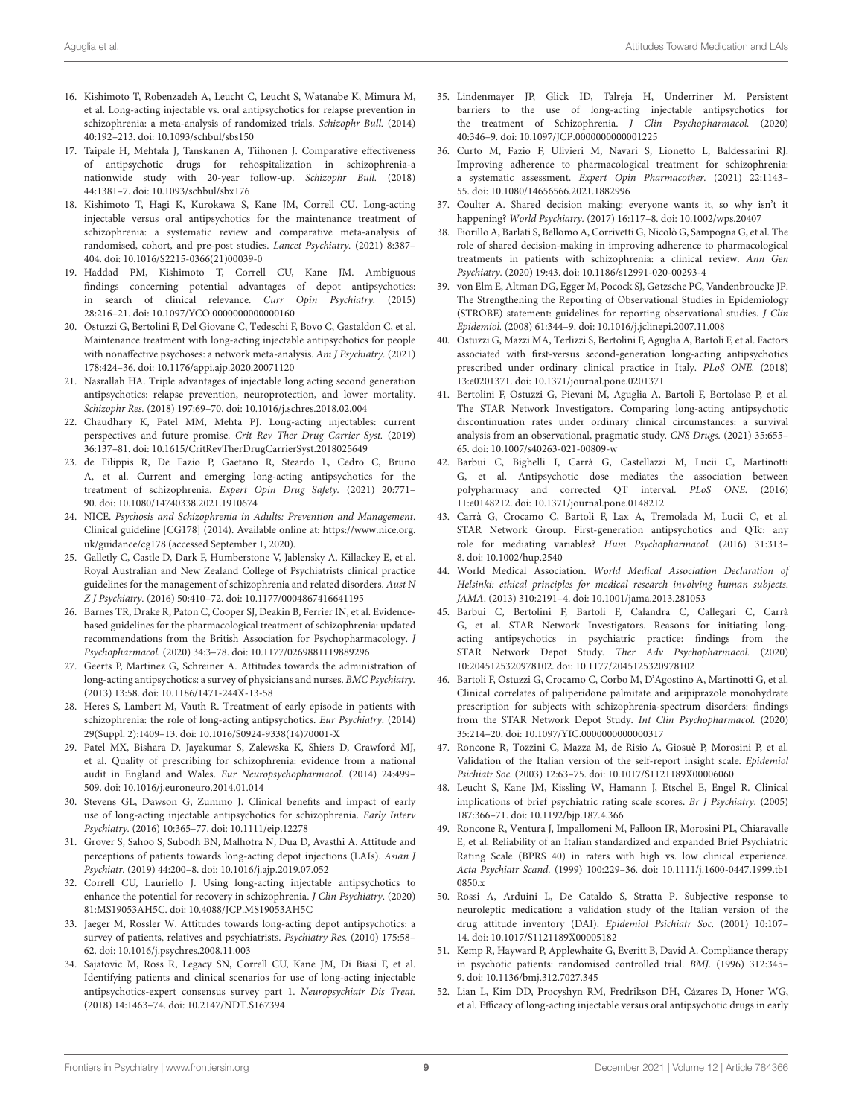- <span id="page-8-0"></span>16. Kishimoto T, Robenzadeh A, Leucht C, Leucht S, Watanabe K, Mimura M, et al. Long-acting injectable vs. oral antipsychotics for relapse prevention in schizophrenia: a meta-analysis of randomized trials. Schizophr Bull. (2014) 40:192–213. doi: [10.1093/schbul/sbs150](https://doi.org/10.1093/schbul/sbs150)
- 17. Taipale H, Mehtala J, Tanskanen A, Tiihonen J. Comparative effectiveness of antipsychotic drugs for rehospitalization in schizophrenia-a nationwide study with 20-year follow-up. Schizophr Bull. (2018) 44:1381–7. doi: [10.1093/schbul/sbx176](https://doi.org/10.1093/schbul/sbx176)
- <span id="page-8-1"></span>18. Kishimoto T, Hagi K, Kurokawa S, Kane JM, Correll CU. Long-acting injectable versus oral antipsychotics for the maintenance treatment of schizophrenia: a systematic review and comparative meta-analysis of randomised, cohort, and pre-post studies. Lancet Psychiatry. (2021) 8:387– 404. doi: [10.1016/S2215-0366\(21\)00039-0](https://doi.org/10.1016/S2215-0366(21)00039-0)
- <span id="page-8-2"></span>19. Haddad PM, Kishimoto T, Correll CU, Kane JM. Ambiguous findings concerning potential advantages of depot antipsychotics: in search of clinical relevance. Curr Opin Psychiatry. (2015) 28:216–21. doi: [10.1097/YCO.0000000000000160](https://doi.org/10.1097/YCO.0000000000000160)
- <span id="page-8-3"></span>20. Ostuzzi G, Bertolini F, Del Giovane C, Tedeschi F, Bovo C, Gastaldon C, et al. Maintenance treatment with long-acting injectable antipsychotics for people with nonaffective psychoses: a network meta-analysis. Am J Psychiatry. (2021) 178:424–36. doi: [10.1176/appi.ajp.2020.20071120](https://doi.org/10.1176/appi.ajp.2020.20071120)
- <span id="page-8-4"></span>21. Nasrallah HA. Triple advantages of injectable long acting second generation antipsychotics: relapse prevention, neuroprotection, and lower mortality. Schizophr Res. (2018) 197:69–70. doi: [10.1016/j.schres.2018.02.004](https://doi.org/10.1016/j.schres.2018.02.004)
- <span id="page-8-10"></span>22. Chaudhary K, Patel MM, Mehta PJ. Long-acting injectables: current perspectives and future promise. Crit Rev Ther Drug Carrier Syst. (2019) 36:137–81. doi: [10.1615/CritRevTherDrugCarrierSyst.2018025649](https://doi.org/10.1615/CritRevTherDrugCarrierSyst.2018025649)
- <span id="page-8-5"></span>23. de Filippis R, De Fazio P, Gaetano R, Steardo L, Cedro C, Bruno A, et al. Current and emerging long-acting antipsychotics for the treatment of schizophrenia. Expert Opin Drug Safety. (2021) 20:771– 90. doi: [10.1080/14740338.2021.1910674](https://doi.org/10.1080/14740338.2021.1910674)
- <span id="page-8-6"></span>24. NICE. Psychosis and Schizophrenia in Adults: Prevention and Management. Clinical guideline [CG178] (2014). Available online at: [https://www.nice.org.](https://www.nice.org) uk/guidance/cg178 (accessed September 1, 2020).
- 25. Galletly C, Castle D, Dark F, Humberstone V, Jablensky A, Killackey E, et al. Royal Australian and New Zealand College of Psychiatrists clinical practice guidelines for the management of schizophrenia and related disorders. Aust N Z J Psychiatry. (2016) 50:410–72. doi: [10.1177/0004867416641195](https://doi.org/10.1177/0004867416641195)
- <span id="page-8-7"></span>26. Barnes TR, Drake R, Paton C, Cooper SJ, Deakin B, Ferrier IN, et al. Evidencebased guidelines for the pharmacological treatment of schizophrenia: updated recommendations from the British Association for Psychopharmacology. J Psychopharmacol. (2020) 34:3–78. doi: [10.1177/0269881119889296](https://doi.org/10.1177/0269881119889296)
- <span id="page-8-8"></span>27. Geerts P, Martinez G, Schreiner A. Attitudes towards the administration of long-acting antipsychotics: a survey of physicians and nurses. BMC Psychiatry. (2013) 13:58. doi: [10.1186/1471-244X-13-58](https://doi.org/10.1186/1471-244X-13-58)
- 28. Heres S, Lambert M, Vauth R. Treatment of early episode in patients with schizophrenia: the role of long-acting antipsychotics. Eur Psychiatry. (2014) 29(Suppl. 2):1409–13. doi: [10.1016/S0924-9338\(14\)70001-X](https://doi.org/10.1016/S0924-9338(14)70001-X)
- <span id="page-8-29"></span>29. Patel MX, Bishara D, Jayakumar S, Zalewska K, Shiers D, Crawford MJ, et al. Quality of prescribing for schizophrenia: evidence from a national audit in England and Wales. Eur Neuropsychopharmacol. (2014) 24:499– 509. doi: [10.1016/j.euroneuro.2014.01.014](https://doi.org/10.1016/j.euroneuro.2014.01.014)
- 30. Stevens GL, Dawson G, Zummo J. Clinical benefits and impact of early use of long-acting injectable antipsychotics for schizophrenia. Early Interv Psychiatry. (2016) 10:365–77. doi: [10.1111/eip.12278](https://doi.org/10.1111/eip.12278)
- 31. Grover S, Sahoo S, Subodh BN, Malhotra N, Dua D, Avasthi A. Attitude and perceptions of patients towards long-acting depot injections (LAIs). Asian J Psychiatr. (2019) 44:200–8. doi: [10.1016/j.ajp.2019.07.052](https://doi.org/10.1016/j.ajp.2019.07.052)
- <span id="page-8-9"></span>32. Correll CU, Lauriello J. Using long-acting injectable antipsychotics to enhance the potential for recovery in schizophrenia. J Clin Psychiatry. (2020) 81:MS19053AH5C. doi: [10.4088/JCP.MS19053AH5C](https://doi.org/10.4088/JCP.MS19053AH5C)
- 33. Jaeger M, Rossler W. Attitudes towards long-acting depot antipsychotics: a survey of patients, relatives and psychiatrists. Psychiatry Res. (2010) 175:58– 62. doi: [10.1016/j.psychres.2008.11.003](https://doi.org/10.1016/j.psychres.2008.11.003)
- 34. Sajatovic M, Ross R, Legacy SN, Correll CU, Kane JM, Di Biasi F, et al. Identifying patients and clinical scenarios for use of long-acting injectable antipsychotics-expert consensus survey part 1. Neuropsychiatr Dis Treat. (2018) 14:1463–74. doi: [10.2147/NDT.S167394](https://doi.org/10.2147/NDT.S167394)
- <span id="page-8-11"></span>35. Lindenmayer JP, Glick ID, Talreja H, Underriner M. Persistent barriers to the use of long-acting injectable antipsychotics for the treatment of Schizophrenia. J Clin Psychopharmacol. (2020) 40:346–9. doi: [10.1097/JCP.0000000000001225](https://doi.org/10.1097/JCP.0000000000001225)
- <span id="page-8-12"></span>36. Curto M, Fazio F, Ulivieri M, Navari S, Lionetto L, Baldessarini RJ. Improving adherence to pharmacological treatment for schizophrenia: a systematic assessment. Expert Opin Pharmacother. (2021) 22:1143– 55. doi: [10.1080/14656566.2021.1882996](https://doi.org/10.1080/14656566.2021.1882996)
- <span id="page-8-13"></span>37. Coulter A. Shared decision making: everyone wants it, so why isn't it happening? World Psychiatry. (2017) 16:117–8. doi: [10.1002/wps.20407](https://doi.org/10.1002/wps.20407)
- <span id="page-8-14"></span>38. Fiorillo A, Barlati S, Bellomo A, Corrivetti G, Nicolò G, Sampogna G, et al. The role of shared decision-making in improving adherence to pharmacological treatments in patients with schizophrenia: a clinical review. Ann Gen Psychiatry. (2020) 19:43. doi: [10.1186/s12991-020-00293-4](https://doi.org/10.1186/s12991-020-00293-4)
- <span id="page-8-15"></span>39. von Elm E, Altman DG, Egger M, Pocock SJ, Gøtzsche PC, Vandenbroucke JP. The Strengthening the Reporting of Observational Studies in Epidemiology (STROBE) statement: guidelines for reporting observational studies. J Clin Epidemiol. (2008) 61:344–9. doi: [10.1016/j.jclinepi.2007.11.008](https://doi.org/10.1016/j.jclinepi.2007.11.008)
- <span id="page-8-16"></span>40. Ostuzzi G, Mazzi MA, Terlizzi S, Bertolini F, Aguglia A, Bartoli F, et al. Factors associated with first-versus second-generation long-acting antipsychotics prescribed under ordinary clinical practice in Italy. PLoS ONE. (2018) 13:e0201371. doi: [10.1371/journal.pone.0201371](https://doi.org/10.1371/journal.pone.0201371)
- <span id="page-8-17"></span>41. Bertolini F, Ostuzzi G, Pievani M, Aguglia A, Bartoli F, Bortolaso P, et al. The STAR Network Investigators. Comparing long-acting antipsychotic discontinuation rates under ordinary clinical circumstances: a survival analysis from an observational, pragmatic study. CNS Drugs. (2021) 35:655– 65. doi: [10.1007/s40263-021-00809-w](https://doi.org/10.1007/s40263-021-00809-w)
- <span id="page-8-18"></span>42. Barbui C, Bighelli I, Carrà G, Castellazzi M, Lucii C, Martinotti G, et al. Antipsychotic dose mediates the association between polypharmacy and corrected QT interval. PLoS ONE. (2016) 11:e0148212. doi: [10.1371/journal.pone.0148212](https://doi.org/10.1371/journal.pone.0148212)
- <span id="page-8-19"></span>43. Carrà G, Crocamo C, Bartoli F, Lax A, Tremolada M, Lucii C, et al. STAR Network Group. First-generation antipsychotics and QTc: any role for mediating variables? Hum Psychopharmacol. (2016) 31:313– 8. doi: [10.1002/hup.2540](https://doi.org/10.1002/hup.2540)
- <span id="page-8-20"></span>44. World Medical Association. World Medical Association Declaration of Helsinki: ethical principles for medical research involving human subjects. JAMA. (2013) 310:2191–4. doi: [10.1001/jama.2013.281053](https://doi.org/10.1001/jama.2013.281053)
- <span id="page-8-21"></span>45. Barbui C, Bertolini F, Bartoli F, Calandra C, Callegari C, Carrà G, et al. STAR Network Investigators. Reasons for initiating longacting antipsychotics in psychiatric practice: findings from the STAR Network Depot Study. Ther Adv Psychopharmacol. (2020) 10:2045125320978102. doi: [10.1177/2045125320978102](https://doi.org/10.1177/2045125320978102)
- <span id="page-8-22"></span>46. Bartoli F, Ostuzzi G, Crocamo C, Corbo M, D'Agostino A, Martinotti G, et al. Clinical correlates of paliperidone palmitate and aripiprazole monohydrate prescription for subjects with schizophrenia-spectrum disorders: findings from the STAR Network Depot Study. Int Clin Psychopharmacol. (2020) 35:214–20. doi: [10.1097/YIC.0000000000000317](https://doi.org/10.1097/YIC.0000000000000317)
- <span id="page-8-23"></span>47. Roncone R, Tozzini C, Mazza M, de Risio A, Giosuè P, Morosini P, et al. Validation of the Italian version of the self-report insight scale. Epidemiol Psichiatr Soc. (2003) 12:63–75. doi: [10.1017/S1121189X00006060](https://doi.org/10.1017/S1121189X00006060)
- <span id="page-8-24"></span>48. Leucht S, Kane JM, Kissling W, Hamann J, Etschel E, Engel R. Clinical implications of brief psychiatric rating scale scores. Br J Psychiatry. (2005) 187:366–71. doi: [10.1192/bjp.187.4.366](https://doi.org/10.1192/bjp.187.4.366)
- <span id="page-8-25"></span>49. Roncone R, Ventura J, Impallomeni M, Falloon IR, Morosini PL, Chiaravalle E, et al. Reliability of an Italian standardized and expanded Brief Psychiatric Rating Scale (BPRS 40) in raters with high vs. low clinical experience. Acta Psychiatr Scand. [\(1999\) 100:229–36. doi: 10.1111/j.1600-0447.1999.tb1](https://doi.org/10.1111/j.1600-0447.1999.tb10850.x) 0850.x
- <span id="page-8-26"></span>50. Rossi A, Arduini L, De Cataldo S, Stratta P. Subjective response to neuroleptic medication: a validation study of the Italian version of the drug attitude inventory (DAI). Epidemiol Psichiatr Soc. (2001) 10:107– 14. doi: [10.1017/S1121189X00005182](https://doi.org/10.1017/S1121189X00005182)
- <span id="page-8-27"></span>51. Kemp R, Hayward P, Applewhaite G, Everitt B, David A. Compliance therapy in psychotic patients: randomised controlled trial. BMJ. (1996) 312:345– 9. doi: [10.1136/bmj.312.7027.345](https://doi.org/10.1136/bmj.312.7027.345)
- <span id="page-8-28"></span>52. Lian L, Kim DD, Procyshyn RM, Fredrikson DH, Cázares D, Honer WG, et al. Efficacy of long-acting injectable versus oral antipsychotic drugs in early